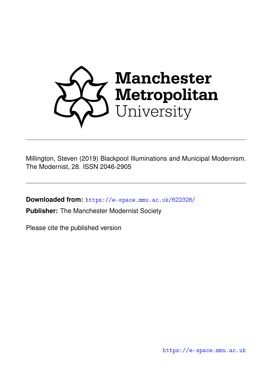

Millington, Steven (2019) Blackpool Illuminations and Municipal Modernism. The Modernist, 28. ISSN 2046-2905

**Downloaded from:** <https://e-space.mmu.ac.uk/622328/>

**Publisher:** The Manchester Modernist Society

Please cite the published version

<https://e-space.mmu.ac.uk>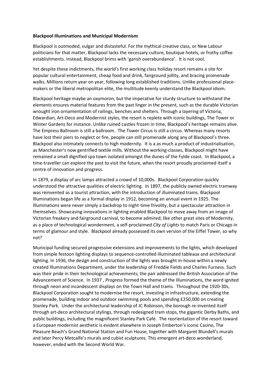## **Blackpool Illuminations and Municipal Modernism**

Blackpool is outmoded, vulgar and distasteful. For the mythical creative class, or New Labour politicians for that matter, Blackpool lacks the necessary culture, boutique hotels, or frothy coffee establishments. Instead, Blackpool brims with 'garish overabundance'. It is not cool.

Yet despite these indictments, the world's first working class holiday resort remains a site for popular cultural entertainment, cheap food and drink, fairground jollity, and bracing promenade walks. Millions return year on year, following long established traditions. Unlike professional placemakers or the liberal metropolitan elite, the multitude keenly understand the Blackpool idiom.

Blackpool heritage maybe an oxymoron, but the imperative for sturdy structure to withstand the elements ensures material features from the past linger in the present, such as the durable Victorian wrought iron ornamentation of railings, benches and shelters. Through a layering of Victoria, Edwardian, Art-Deco and Modernist styles, the resort is replete with iconic buildings, The Tower or Winter Gardens for instance. Unlike ruined castles frozen in time, Blackpool's heritage remains alive. The Empress Ballroom is still a ballroom. The Tower Circus is still a circus. Whereas many resorts have lost their piers to neglect or fire, people can still promenade along any of Blackpool's three. Blackpool also intimately connects to high modernity. It is a as much a product of industrialisation, as Manchester's now gentrified textile mills. Without the working-classes, Blackpool might have remained a small dignified spa town isolated amongst the dunes of the Fylde coast. In Blackpool, a time-traveller can explore the past to visit the future, when the resort proudly proclaimed itself a centre of innovation and progress.

In 1879, a display of arc lamps attracted a crowd of 10,000s. Blackpool Corporation quickly understood the attractive qualities of electric lighting. In 1897, the publicly owned electric tramway was reinvented as a tourist attraction, with the introduction of illuminated trams. Blackpool Illuminations began life as a formal display in 1912, becoming an annual event in 1925. The Illuminations were never simply a backdrop to night-time frivolity, but a spectacular attraction in themselves. Showcasing innovations in lighting enabled Blackpool to move away from an image of Victorian freakery and fairground carnival, to become admired, like other great sites of Modernity, as a place of technological wonderment, a self-proclaimed *City of Lights* to match Paris or Chicago in terms of glamour and style. Blackpool already possessed its own version of the Eiffel Tower, so why not?

Municipal funding secured progressive extensions and improvements to the lights, which developed from simple festoon lighting displays to sequence-controlled illuminated tableaux and architectural lighting. In 1936, the design and construction of the lights was brought in-house within a newly created Illuminations Department, under the leadership of Freddie Fields and Charles Furness. Such was their pride in their technological achievements; the pair addressed the British Association of the Advancement of Science. In 1937 , *Progress* formed the theme of the Illuminations, the word ignited through neon and incandescent displays on the Town Hall and trams. Throughout the 1920-30s, Blackpool Corporation sought to modernise the resort, investing in infrastructure, extending the promenade, building indoor and outdoor swimming pools and spending £250,000 on creating Stanley Park. Under the architectural leadership of JC Robinson, the borough re-invented itself through art-deco architectural stylings, through redesigned tram stops, the gigantic Derby Baths, and public buildings, including the magnificent Stanley Park Café. The reorientation of the resort toward a European modernist aesthetic is evident elsewhere in Joseph Emberton's iconic Casino, The Pleasure Beach's Grand National Station and Fun House, together with Margaret Blundell's murals and later Percy Metcalfe's murals and cubist sculptures. This emergent art-deco wonderland, however, ended with the Second World War.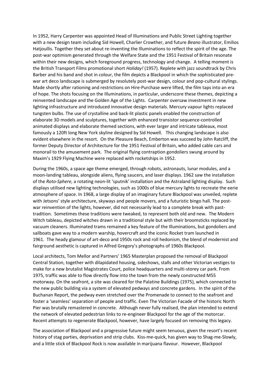In 1952, Harry Carpenter was appointed Head of Illuminations and Public Street Lighting together with a new design team including Sid Howell, Charlier Crowther, and future *Beano* illustrator, Emilios Hatjoullis. Together they set about re-inventing the Illuminations to reflect the spirit of the age. The post-war optimism generated through the Welfare State and the 1951 Festival of Britain resonate within their new designs, which foreground progress, technology and change. A telling moment is the British Transport Films promotional short *Holiday!* (1957). Replete with jazz soundtrack by Chris Barber and his band and shot in colour, the film depicts a Blackpool in which the sophisticated prewar art deco landscape is submerged by resolutely post-war design, colour and pop-cultural stylings. Made shortly after rationing and restrictions on Hire-Purchase were lifted, the film taps into an era of hope. The shots focusing on the Illuminations, in particular, underscore these themes, depicting a reinvented landscape and the Golden Age of the Lights. Carpenter oversaw investment in new lighting infrastructure and introduced innovative design materials. Mercury vapour lights replaced tungsten bulbs. The use of crystalline and back-lit plastic panels enabled the construction of elaborate 3D models and sculptures, together with enhanced transistor sequence-controlled animated displays and elaborate themed sections, with ever larger and intricate tableaux, most famously a 120ft long New York skyline designed by Sid Howell. This changing landscape is also evident elsewhere in the resort. On the Pleasure Beach, Emberton was succeed by John Ratcliff, the former Deputy Director of Architecture for the 1951 Festival of Britain, who added cable cars and monorail to the amusement park. The original flying contraption gondoliers swung around by Maxim's 1929 Flying Machine were replaced with rocketships in 1952.

During the 1960s, a space age theme emerged, through robots, astronauts, lunar modules, and a moon-landing tableau, alongside aliens, flying saucers, and laser displays. 1962 saw the installation of the *Roto-Sphere*, a rotating neon-lit 'sputnik' installation and the Astraland lighting display. Such displays utilised new lighting technologies, such as 1000s of blue mercury lights to recreate the eerie atmosphere of space. In 1968, a large display of an imaginary future Blackpool was unveiled, replete with Jetsons' style architecture, skyways and people movers, and a futuristic bingo hall. The postwar reinvention of the lights, however, did not necessarily lead to a complete break with pasttradition. Sometimes these traditions were tweaked, to represent both old and new. The Modern Witch tableau, depicted witches drawn in a traditional style but with their broomsticks replaced by vacuum cleaners. Illuminated trams remained a key feature of the Illuminations, but gondoliers and sailboats gave way to a modern warship, hovercraft and the iconic Rocket tram launched in 1961. The heady glamour of art-deco and 1950s rock and roll hedonism, the blend of modernist and fairground aesthetic is captured in Alfred Gregory's photographs of 1960s Blackpool.

Local architects, Tom Mellor and Partners' 1965 Masterplan proposed the removal of Blackpool Central Station, together with dilapidated housing, sideshows, stalls and other Victorian vestiges to make for a new brutalist Magistrates Court, police headquarters and multi-storey car park. From 1975, traffic was able to flow directly flow into the town from the newly constructed M55 motorway. On the seafront, a site was cleared for the Palatine Buildings (1975), which connected to the new public building via a system of elevated pedways and concrete gardens. In the spirit of the Buchanan Report, the pedway even stretched over the Promenade to connect to the seafront and foster a 'seamless' separation of people and traffic. Even The Victorian Facade of the historic North Pier was brutally remastered in concrete. Although never fully realised, the plan intended to extend the network of elevated pedestrian links to re-engineer Blackpool for the age of the motorcar. Recent attempts to regenerate Blackpool, however, have largely focused on removing this legacy.

The association of Blackpool and a progressive future might seem tenuous, given the resort's recent history of stag parties, deprivation and strip clubs. Kiss-me-quick, has given way to Shag-me-Slowly, and a little stick of Blackpool Rock is now available in marijuana flavour. However, Blackpool